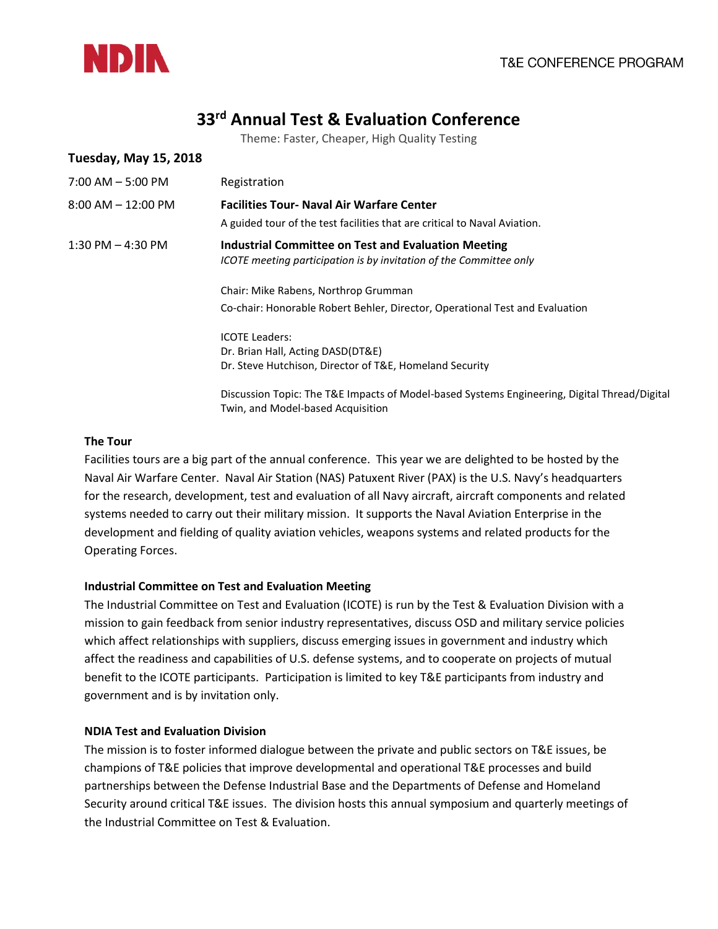

# **33rd Annual Test & Evaluation Conference**

Theme: Faster, Cheaper, High Quality Testing

| <b>Tuesday, May 15, 2018</b> |                                                                                                                                         |
|------------------------------|-----------------------------------------------------------------------------------------------------------------------------------------|
| $7:00$ AM $-5:00$ PM         | Registration                                                                                                                            |
| $8:00$ AM $- 12:00$ PM       | <b>Facilities Tour- Naval Air Warfare Center</b>                                                                                        |
|                              | A guided tour of the test facilities that are critical to Naval Aviation.                                                               |
| 1:30 PM $-$ 4:30 PM          | <b>Industrial Committee on Test and Evaluation Meeting</b><br><b>ICOTE</b> meeting participation is by invitation of the Committee only |
|                              | Chair: Mike Rabens, Northrop Grumman                                                                                                    |
|                              | Co-chair: Honorable Robert Behler, Director, Operational Test and Evaluation                                                            |
|                              | <b>ICOTE Leaders:</b>                                                                                                                   |
|                              | Dr. Brian Hall, Acting DASD(DT&E)                                                                                                       |
|                              | Dr. Steve Hutchison, Director of T&E, Homeland Security                                                                                 |
|                              | Discussion Topic: The T&E Impacts of Model-based Systems Engineering, Digital Thread/Digital                                            |
|                              | Twin, and Model-based Acquisition                                                                                                       |

#### **The Tour**

Facilities tours are a big part of the annual conference. This year we are delighted to be hosted by the Naval Air Warfare Center. Naval Air Station (NAS) Patuxent River (PAX) is the U.S. Navy's headquarters for the research, development, test and evaluation of all Navy aircraft, aircraft components and related systems needed to carry out their military mission. It supports the Naval Aviation Enterprise in the development and fielding of quality aviation vehicles, weapons systems and related products for the Operating Forces.

#### **Industrial Committee on Test and Evaluation Meeting**

The Industrial Committee on Test and Evaluation (ICOTE) is run by the Test & Evaluation Division with a mission to gain feedback from senior industry representatives, discuss OSD and military service policies which affect relationships with suppliers, discuss emerging issues in government and industry which affect the readiness and capabilities of U.S. defense systems, and to cooperate on projects of mutual benefit to the ICOTE participants. Participation is limited to key T&E participants from industry and government and is by invitation only.

#### **NDIA Test and Evaluation Division**

The mission is to foster informed dialogue between the private and public sectors on T&E issues, be champions of T&E policies that improve developmental and operational T&E processes and build partnerships between the Defense Industrial Base and the Departments of Defense and Homeland Security around critical T&E issues. The division hosts this annual symposium and quarterly meetings of the Industrial Committee on Test & Evaluation.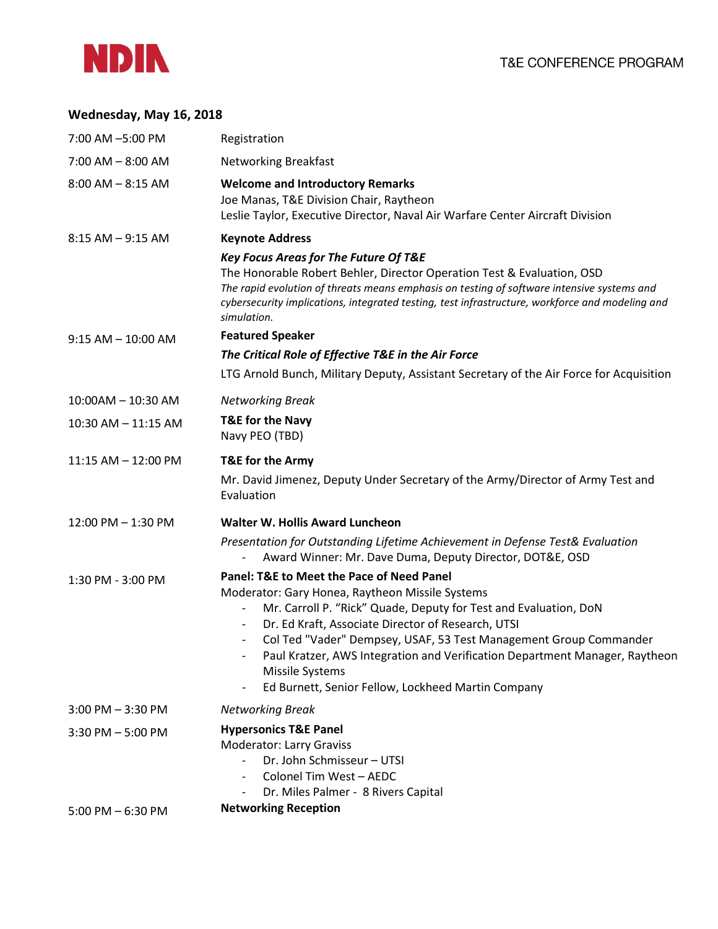

### **Wednesday, May 16, 2018**

| 7:00 AM -5:00 PM        | Registration                                                                                                                                                                                                                                                                                                                                                                                                                                                                                                                         |
|-------------------------|--------------------------------------------------------------------------------------------------------------------------------------------------------------------------------------------------------------------------------------------------------------------------------------------------------------------------------------------------------------------------------------------------------------------------------------------------------------------------------------------------------------------------------------|
| $7:00$ AM $-$ 8:00 AM   | <b>Networking Breakfast</b>                                                                                                                                                                                                                                                                                                                                                                                                                                                                                                          |
| $8:00$ AM $- 8:15$ AM   | <b>Welcome and Introductory Remarks</b><br>Joe Manas, T&E Division Chair, Raytheon<br>Leslie Taylor, Executive Director, Naval Air Warfare Center Aircraft Division                                                                                                                                                                                                                                                                                                                                                                  |
| $8:15$ AM $-9:15$ AM    | <b>Keynote Address</b>                                                                                                                                                                                                                                                                                                                                                                                                                                                                                                               |
|                         | <b>Key Focus Areas for The Future Of T&amp;E</b><br>The Honorable Robert Behler, Director Operation Test & Evaluation, OSD<br>The rapid evolution of threats means emphasis on testing of software intensive systems and<br>cybersecurity implications, integrated testing, test infrastructure, workforce and modeling and<br>simulation.                                                                                                                                                                                           |
| $9:15$ AM $- 10:00$ AM  | <b>Featured Speaker</b>                                                                                                                                                                                                                                                                                                                                                                                                                                                                                                              |
|                         | The Critical Role of Effective T&E in the Air Force                                                                                                                                                                                                                                                                                                                                                                                                                                                                                  |
|                         | LTG Arnold Bunch, Military Deputy, Assistant Secretary of the Air Force for Acquisition                                                                                                                                                                                                                                                                                                                                                                                                                                              |
| 10:00AM - 10:30 AM      | <b>Networking Break</b>                                                                                                                                                                                                                                                                                                                                                                                                                                                                                                              |
| $10:30$ AM $- 11:15$ AM | <b>T&amp;E for the Navy</b><br>Navy PEO (TBD)                                                                                                                                                                                                                                                                                                                                                                                                                                                                                        |
| $11:15$ AM $- 12:00$ PM | T&E for the Army                                                                                                                                                                                                                                                                                                                                                                                                                                                                                                                     |
|                         | Mr. David Jimenez, Deputy Under Secretary of the Army/Director of Army Test and<br>Evaluation                                                                                                                                                                                                                                                                                                                                                                                                                                        |
| 12:00 PM - 1:30 PM      | <b>Walter W. Hollis Award Luncheon</b>                                                                                                                                                                                                                                                                                                                                                                                                                                                                                               |
|                         | Presentation for Outstanding Lifetime Achievement in Defense Test& Evaluation<br>Award Winner: Mr. Dave Duma, Deputy Director, DOT&E, OSD                                                                                                                                                                                                                                                                                                                                                                                            |
| 1:30 PM - 3:00 PM       | Panel: T&E to Meet the Pace of Need Panel<br>Moderator: Gary Honea, Raytheon Missile Systems<br>Mr. Carroll P. "Rick" Quade, Deputy for Test and Evaluation, DoN<br>$\qquad \qquad -$<br>Dr. Ed Kraft, Associate Director of Research, UTSI<br>$\overline{\phantom{a}}$<br>Col Ted "Vader" Dempsey, USAF, 53 Test Management Group Commander<br>$\qquad \qquad \blacksquare$<br>Paul Kratzer, AWS Integration and Verification Department Manager, Raytheon<br>Missile Systems<br>Ed Burnett, Senior Fellow, Lockheed Martin Company |
| $3:00$ PM $-3:30$ PM    | <b>Networking Break</b>                                                                                                                                                                                                                                                                                                                                                                                                                                                                                                              |
| $3:30$ PM $-5:00$ PM    | <b>Hypersonics T&amp;E Panel</b><br>Moderator: Larry Graviss<br>Dr. John Schmisseur - UTSI<br>$\overline{\phantom{0}}$<br>Colonel Tim West - AEDC<br>Dr. Miles Palmer - 8 Rivers Capital                                                                                                                                                                                                                                                                                                                                             |
| $5:00$ PM $-6:30$ PM    | <b>Networking Reception</b>                                                                                                                                                                                                                                                                                                                                                                                                                                                                                                          |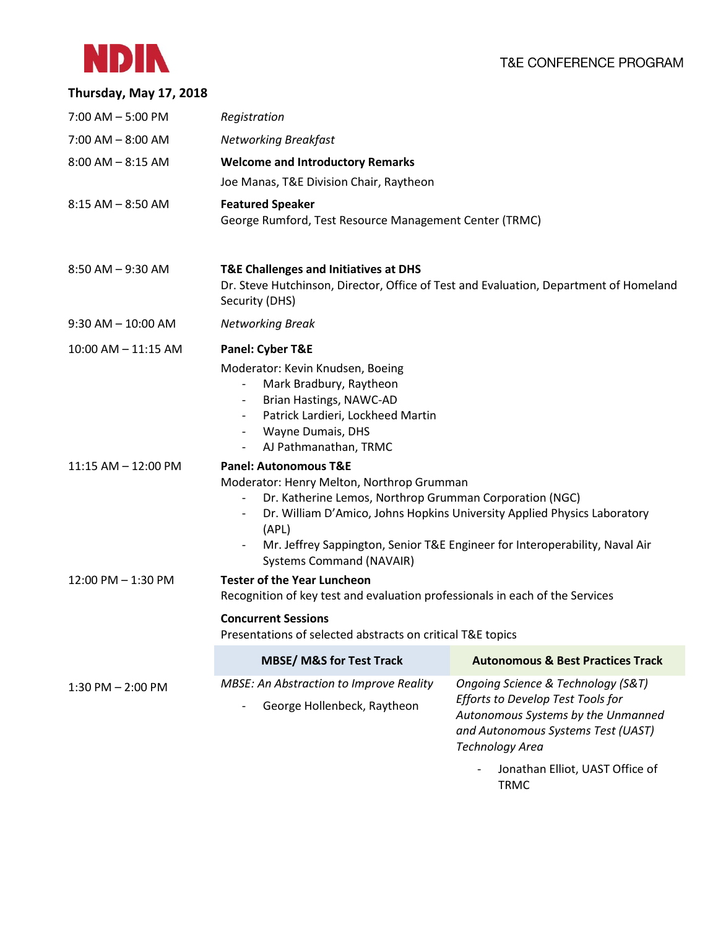## T&E CONFERENCE PROGRAM



| Thursday, May 17, 2018  |                                                                                                                                                                                                                                                                                                                                                                                 |                                                                                                                                                                        |  |
|-------------------------|---------------------------------------------------------------------------------------------------------------------------------------------------------------------------------------------------------------------------------------------------------------------------------------------------------------------------------------------------------------------------------|------------------------------------------------------------------------------------------------------------------------------------------------------------------------|--|
| $7:00$ AM $-5:00$ PM    | Registration                                                                                                                                                                                                                                                                                                                                                                    |                                                                                                                                                                        |  |
| $7:00$ AM $-$ 8:00 AM   | <b>Networking Breakfast</b>                                                                                                                                                                                                                                                                                                                                                     |                                                                                                                                                                        |  |
| $8:00$ AM $- 8:15$ AM   | <b>Welcome and Introductory Remarks</b>                                                                                                                                                                                                                                                                                                                                         |                                                                                                                                                                        |  |
|                         | Joe Manas, T&E Division Chair, Raytheon                                                                                                                                                                                                                                                                                                                                         |                                                                                                                                                                        |  |
| $8:15$ AM $-$ 8:50 AM   | <b>Featured Speaker</b><br>George Rumford, Test Resource Management Center (TRMC)                                                                                                                                                                                                                                                                                               |                                                                                                                                                                        |  |
| $8:50$ AM $-9:30$ AM    | T&E Challenges and Initiatives at DHS<br>Dr. Steve Hutchinson, Director, Office of Test and Evaluation, Department of Homeland<br>Security (DHS)                                                                                                                                                                                                                                |                                                                                                                                                                        |  |
| $9:30$ AM $-10:00$ AM   | Networking Break                                                                                                                                                                                                                                                                                                                                                                |                                                                                                                                                                        |  |
| $10:00$ AM $- 11:15$ AM | Panel: Cyber T&E                                                                                                                                                                                                                                                                                                                                                                |                                                                                                                                                                        |  |
|                         | Moderator: Kevin Knudsen, Boeing<br>Mark Bradbury, Raytheon<br>Brian Hastings, NAWC-AD<br>$\overline{\phantom{a}}$<br>Patrick Lardieri, Lockheed Martin<br>$\overline{\phantom{a}}$<br>Wayne Dumais, DHS<br>$\overline{\phantom{a}}$<br>AJ Pathmanathan, TRMC<br>$\overline{\phantom{a}}$                                                                                       |                                                                                                                                                                        |  |
| 11:15 AM - 12:00 PM     | <b>Panel: Autonomous T&amp;E</b><br>Moderator: Henry Melton, Northrop Grumman<br>Dr. Katherine Lemos, Northrop Grumman Corporation (NGC)<br>Dr. William D'Amico, Johns Hopkins University Applied Physics Laboratory<br>$\qquad \qquad \blacksquare$<br>(APL)<br>Mr. Jeffrey Sappington, Senior T&E Engineer for Interoperability, Naval Air<br><b>Systems Command (NAVAIR)</b> |                                                                                                                                                                        |  |
| 12:00 PM - 1:30 PM      | <b>Tester of the Year Luncheon</b><br>Recognition of key test and evaluation professionals in each of the Services                                                                                                                                                                                                                                                              |                                                                                                                                                                        |  |
|                         | <b>Concurrent Sessions</b><br>Presentations of selected abstracts on critical T&E topics                                                                                                                                                                                                                                                                                        |                                                                                                                                                                        |  |
|                         | <b>MBSE/ M&amp;S for Test Track</b>                                                                                                                                                                                                                                                                                                                                             | <b>Autonomous &amp; Best Practices Track</b>                                                                                                                           |  |
| $1:30$ PM $- 2:00$ PM   | <b>MBSE: An Abstraction to Improve Reality</b><br>George Hollenbeck, Raytheon                                                                                                                                                                                                                                                                                                   | Ongoing Science & Technology (S&T)<br>Efforts to Develop Test Tools for<br>Autonomous Systems by the Unmanned<br>and Autonomous Systems Test (UAST)<br>Technology Area |  |

- Jonathan Elliot, UAST Office of TRMC